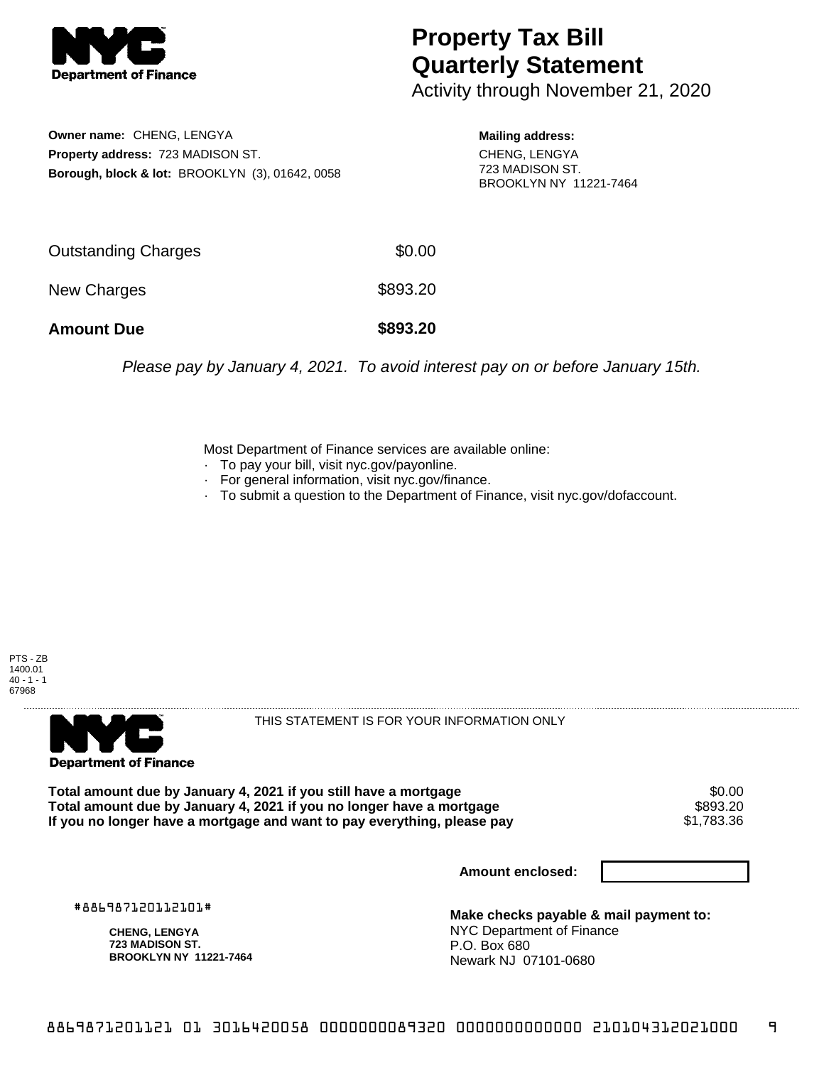

## **Property Tax Bill Quarterly Statement**

Activity through November 21, 2020

**Owner name:** CHENG, LENGYA **Property address:** 723 MADISON ST. **Borough, block & lot:** BROOKLYN (3), 01642, 0058

**Mailing address:** CHENG, LENGYA 723 MADISON ST. BROOKLYN NY 11221-7464

| <b>Amount Due</b>   | \$893.20 |
|---------------------|----------|
| New Charges         | \$893.20 |
| Outstanding Charges | \$0.00   |

Please pay by January 4, 2021. To avoid interest pay on or before January 15th.

Most Department of Finance services are available online:

- · To pay your bill, visit nyc.gov/payonline.
- For general information, visit nyc.gov/finance.
- · To submit a question to the Department of Finance, visit nyc.gov/dofaccount.

PTS - ZB 1400.01  $40 - 1 - 1$ 67968



THIS STATEMENT IS FOR YOUR INFORMATION ONLY

Total amount due by January 4, 2021 if you still have a mortgage \$0.00<br>Total amount due by January 4, 2021 if you no longer have a mortgage \$893.20 **Total amount due by January 4, 2021 if you no longer have a mortgage \$893.20**<br>If you no longer have a mortgage and want to pay everything, please pay \$1,783.36 If you no longer have a mortgage and want to pay everything, please pay

**Amount enclosed:**

#886987120112101#

**CHENG, LENGYA 723 MADISON ST. BROOKLYN NY 11221-7464**

**Make checks payable & mail payment to:** NYC Department of Finance P.O. Box 680 Newark NJ 07101-0680